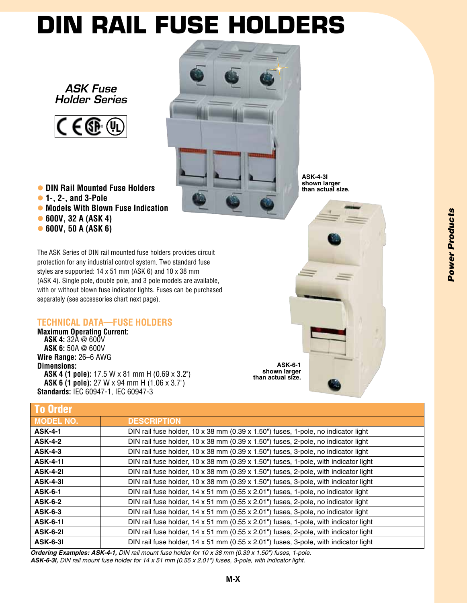## **DIN Rail Fuse Holders**

*ASK Fuse Holder Series*



l **DIN Rail Mounted Fuse Holders** l **1-, 2-, and 3-Pole • Models With Blown Fuse Indication** l **600V, 32 A (ASK 4)** l **600V, 50 A (ASK 6)**

The ASK Series of DIN rail mounted fuse holders provides circuit protection for any industrial control system. Two standard fuse styles are supported: 14 x 51 mm (ASK 6) and 10 x 38 mm (ASK 4). Single pole, double pole, and 3 pole models are available, with or without blown fuse indicator lights. Fuses can be purchased separately (see accessories chart next page).

## **Technical Data—Fuse Holders**

**Maximum Operating Current: ASK 4:** 32A @ 600V **ASK 6:** 50A @ 600V **Wire Range:** 26–6 AWG **Dimensions: ASK 4 (1 pole):** 17.5 W x 81 mm H (0.69 x 3.2") **ASK 6 (1 pole):** 27 W x 94 mm H (1.06 x 3.7") **Standards:** IEC 60947-1, IEC 60947-3

**ASK-4-3I shown larger than actual size.**

**ASK-6-1 shown larger than actual size.**

| <b>To Order</b>  |                                                                                                   |
|------------------|---------------------------------------------------------------------------------------------------|
| <b>MODEL NO.</b> | <b>DESCRIPTION</b>                                                                                |
| <b>ASK-4-1</b>   | DIN rail fuse holder, 10 x 38 mm (0.39 x 1.50") fuses, 1-pole, no indicator light                 |
| <b>ASK-4-2</b>   | DIN rail fuse holder, 10 x 38 mm (0.39 x 1.50") fuses, 2-pole, no indicator light                 |
| <b>ASK-4-3</b>   | DIN rail fuse holder, 10 x 38 mm (0.39 x 1.50") fuses, 3-pole, no indicator light                 |
| <b>ASK-4-11</b>  | DIN rail fuse holder, 10 x 38 mm (0.39 x 1.50") fuses, 1-pole, with indicator light               |
| <b>ASK-4-21</b>  | DIN rail fuse holder, $10 \times 38$ mm (0.39 $\times$ 1.50") fuses, 2-pole, with indicator light |
| <b>ASK-4-31</b>  | DIN rail fuse holder, $10 \times 38$ mm $(0.39 \times 1.50)$ fuses, 3-pole, with indicator light  |
| <b>ASK-6-1</b>   | DIN rail fuse holder, 14 x 51 mm (0.55 x 2.01") fuses, 1-pole, no indicator light                 |
| <b>ASK-6-2</b>   | DIN rail fuse holder, 14 x 51 mm (0.55 x 2.01") fuses, 2-pole, no indicator light                 |
| <b>ASK-6-3</b>   | DIN rail fuse holder, 14 x 51 mm (0.55 x 2.01") fuses, 3-pole, no indicator light                 |
| <b>ASK-6-11</b>  | DIN rail fuse holder, 14 x 51 mm (0.55 x 2.01") fuses, 1-pole, with indicator light               |
| <b>ASK-6-21</b>  | DIN rail fuse holder, 14 x 51 mm (0.55 x 2.01") fuses, 2-pole, with indicator light               |
| <b>ASK-6-31</b>  | DIN rail fuse holder, 14 x 51 mm (0.55 x 2.01") fuses, 3-pole, with indicator light               |

*Ordering Examples: ASK-4-1, DIN rail mount fuse holder for 10 x 38 mm (0.39 x 1.50") fuses, 1-pole. ASK-6-3I, DIN rail mount fuse holder for 14 x 51 mm (0.55 x 2.01") fuses, 3-pole, with indicator light.*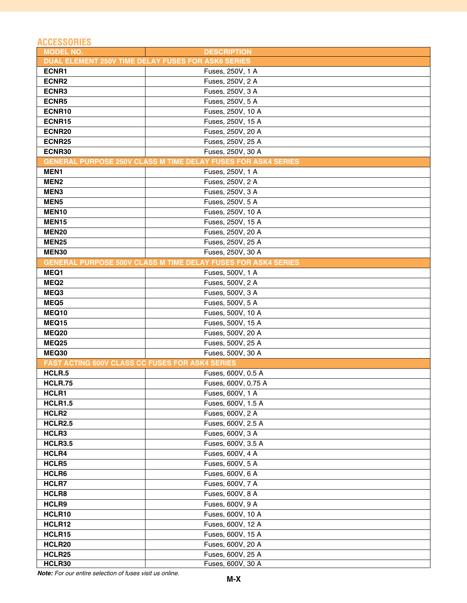## **ACCESSORIES**

| <b>MODEL NO.</b>                                                     | <b>DESCRIPTION</b>                                                   |  |  |
|----------------------------------------------------------------------|----------------------------------------------------------------------|--|--|
| DUAL ELEMENT 250V TIME DELAY FUSES FOR ASK6 SERIES                   |                                                                      |  |  |
| ECNR1                                                                | Fuses, 250V, 1 A                                                     |  |  |
| ECNR <sub>2</sub>                                                    | Fuses, 250V, 2 A                                                     |  |  |
| ECNR3                                                                | Fuses, 250V, 3 A                                                     |  |  |
| ECNR5                                                                | Fuses, 250V, 5 A                                                     |  |  |
| ECNR10                                                               | Fuses, 250V, 10 A                                                    |  |  |
| ECNR15                                                               | Fuses, 250V, 15 A                                                    |  |  |
| ECNR <sub>20</sub>                                                   | Fuses, 250V, 20 A                                                    |  |  |
| ECNR25                                                               | Fuses, 250V, 25 A                                                    |  |  |
| ECNR30                                                               | Fuses, 250V, 30 A                                                    |  |  |
| <b>GENERAL PURPOSE 250V CLASS M TIME DELAY FUSES FOR ASK4 SERIES</b> |                                                                      |  |  |
| MEN1                                                                 | Fuses, 250V, 1 A                                                     |  |  |
| MEN <sub>2</sub>                                                     | Fuses, 250V, 2 A                                                     |  |  |
| MEN <sub>3</sub>                                                     | Fuses, 250V, 3 A                                                     |  |  |
| MEN <sub>5</sub>                                                     | Fuses, 250V, 5 A                                                     |  |  |
| MEN <sub>10</sub>                                                    | Fuses, 250V, 10 A                                                    |  |  |
| MEN <sub>15</sub>                                                    | Fuses, 250V, 15 A                                                    |  |  |
| <b>MEN20</b>                                                         | Fuses, 250V, 20 A                                                    |  |  |
| <b>MEN25</b>                                                         | Fuses, 250V, 25 A                                                    |  |  |
| MEN30                                                                | Fuses, 250V, 30 A                                                    |  |  |
|                                                                      | <b>GENERAL PURPOSE 500V CLASS M TIME DELAY FUSES FOR ASK4 SERIES</b> |  |  |
| MEQ1                                                                 | Fuses, 500V, 1 A                                                     |  |  |
| MEQ <sub>2</sub>                                                     | Fuses, 500V, 2 A                                                     |  |  |
|                                                                      |                                                                      |  |  |
| MEQ3                                                                 | Fuses, 500V, 3 A                                                     |  |  |
| MEQ5                                                                 | Fuses, 500V, 5 A                                                     |  |  |
| MEQ10                                                                | Fuses, 500V, 10 A                                                    |  |  |
| MEQ15                                                                | Fuses, 500V, 15 A                                                    |  |  |
| <b>MEQ20</b>                                                         | Fuses, 500V, 20 A                                                    |  |  |
| <b>MEQ25</b>                                                         | Fuses, 500V, 25 A                                                    |  |  |
| <b>MEQ30</b>                                                         | Fuses, 500V, 30 A                                                    |  |  |
| FAST ACTING 600V CLASS CC FUSES FOR ASK4 SERIES                      |                                                                      |  |  |
| HCLR.5                                                               | Fuses, 600V, 0.5 A                                                   |  |  |
| <b>HCLR.75</b>                                                       | Fuses, 600V, 0.75 A                                                  |  |  |
| HCLR1                                                                | Fuses, 600V, 1 A                                                     |  |  |
| HCLR1.5                                                              | Fuses, 600V, 1.5 A                                                   |  |  |
| HCLR <sub>2</sub>                                                    | Fuses, 600V, 2 A                                                     |  |  |
| HCLR2.5                                                              | Fuses, 600V, 2.5 A                                                   |  |  |
| HCLR3                                                                | Fuses, 600V, 3 A                                                     |  |  |
| HCLR3.5                                                              | Fuses, 600V, 3.5 A                                                   |  |  |
| HCLR4                                                                | Fuses, 600V, 4 A                                                     |  |  |
| HCLR5                                                                | Fuses, 600V, 5 A                                                     |  |  |
| HCLR6                                                                | Fuses, 600V, 6 A                                                     |  |  |
| HCLR7                                                                | Fuses, 600V, 7 A                                                     |  |  |
| HCLR8                                                                | Fuses, 600V, 8 A                                                     |  |  |
| HCLR9                                                                | Fuses, 600V, 9 A                                                     |  |  |
| HCLR10                                                               | Fuses, 600V, 10 A                                                    |  |  |
| HCLR12                                                               | Fuses, 600V, 12 A                                                    |  |  |
| HCLR15                                                               | Fuses, 600V, 15 A                                                    |  |  |
| HCLR20                                                               | Fuses, 600V, 20 A                                                    |  |  |
| HCLR25                                                               | Fuses, 600V, 25 A                                                    |  |  |
| HCLR30                                                               | Fuses, 600V, 30 A                                                    |  |  |

*Note: For our entire selection of fuses visit us online.*